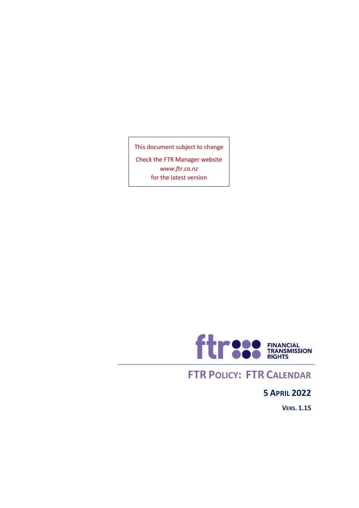This document subject to change

Check the FTR Manager website *[www.ftr.co.nz](http://www.ftr.co.nz/)* for the latest version



### **FTR POLICY: FTR CALENDAR**

### **5 APRIL 2022**

**VERS. 1.15**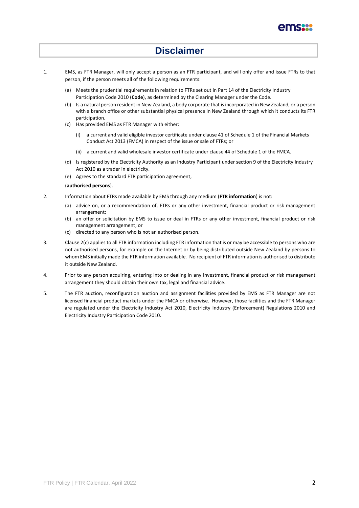

### **Disclaimer**

- 1. EMS, as FTR Manager, will only accept a person as an FTR participant, and will only offer and issue FTRs to that person, if the person meets all of the following requirements:
	- (a) Meets the prudential requirements in relation to FTRs set out in Part 14 of the Electricity Industry Participation Code 2010 (**Code**), as determined by the Clearing Manager under the Code.
	- (b) Is a natural person resident in New Zealand, a body corporate that is incorporated in New Zealand, or a person with a branch office or other substantial physical presence in New Zealand through which it conducts its FTR participation.
	- (c) Has provided EMS as FTR Manager with either:
		- (i) a current and valid eligible investor certificate under clause 41 of Schedule 1 of the Financial Markets Conduct Act 2013 (FMCA) in respect of the issue or sale of FTRs; or
		- (ii) a current and valid wholesale investor certificate under clause 44 of Schedule 1 of the FMCA.
	- (d) Is registered by the Electricity Authority as an Industry Participant under section 9 of the Electricity Industry Act 2010 as a trader in electricity.
	- (e) Agrees to the standard FTR participation agreement,

#### (**authorised persons**).

- 2. Information about FTRs made available by EMS through any medium (**FTR information**) is not:
	- (a) advice on, or a recommendation of, FTRs or any other investment, financial product or risk management arrangement;
	- (b) an offer or solicitation by EMS to issue or deal in FTRs or any other investment, financial product or risk management arrangement; or
	- (c) directed to any person who is not an authorised person.
- 3. Clause 2(c) applies to all FTR information including FTR information that is or may be accessible to persons who are not authorised persons, for example on the Internet or by being distributed outside New Zealand by persons to whom EMS initially made the FTR information available. No recipient of FTR information is authorised to distribute it outside New Zealand.
- 4. Prior to any person acquiring, entering into or dealing in any investment, financial product or risk management arrangement they should obtain their own tax, legal and financial advice.
- 5. The FTR auction, reconfiguration auction and assignment facilities provided by EMS as FTR Manager are not licensed financial product markets under the FMCA or otherwise. However, those facilities and the FTR Manager are regulated under the Electricity Industry Act 2010, Electricity Industry (Enforcement) Regulations 2010 and Electricity Industry Participation Code 2010.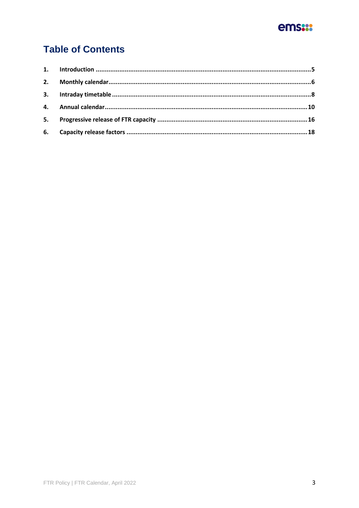

### **Table of Contents**

| 5. |  |
|----|--|
|    |  |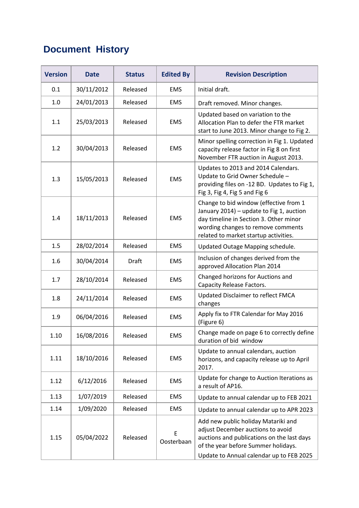### **Document History**

| <b>Version</b> | <b>Date</b> | <b>Status</b> | <b>Edited By</b> | <b>Revision Description</b>                                                                                                                                                                                 |
|----------------|-------------|---------------|------------------|-------------------------------------------------------------------------------------------------------------------------------------------------------------------------------------------------------------|
| 0.1            | 30/11/2012  | Released      | <b>EMS</b>       | Initial draft.                                                                                                                                                                                              |
| 1.0            | 24/01/2013  | Released      | <b>EMS</b>       | Draft removed. Minor changes.                                                                                                                                                                               |
| 1.1            | 25/03/2013  | Released      | <b>EMS</b>       | Updated based on variation to the<br>Allocation Plan to defer the FTR market<br>start to June 2013. Minor change to Fig 2.                                                                                  |
| 1.2            | 30/04/2013  | Released      | <b>EMS</b>       | Minor spelling correction in Fig 1. Updated<br>capacity release factor in Fig 8 on first<br>November FTR auction in August 2013.                                                                            |
| 1.3            | 15/05/2013  | Released      | <b>EMS</b>       | Updates to 2013 and 2014 Calendars.<br>Update to Grid Owner Schedule -<br>providing files on -12 BD. Updates to Fig 1,<br>Fig 3, Fig 4, Fig 5 and Fig 6                                                     |
| 1.4            | 18/11/2013  | Released      | <b>EMS</b>       | Change to bid window (effective from 1<br>January 2014) - update to Fig 1, auction<br>day timeline in Section 3. Other minor<br>wording changes to remove comments<br>related to market startup activities. |
| 1.5            | 28/02/2014  | Released      | <b>EMS</b>       | Updated Outage Mapping schedule.                                                                                                                                                                            |
| 1.6            | 30/04/2014  | <b>Draft</b>  | <b>EMS</b>       | Inclusion of changes derived from the<br>approved Allocation Plan 2014                                                                                                                                      |
| 1.7            | 28/10/2014  | Released      | <b>EMS</b>       | Changed horizons for Auctions and<br>Capacity Release Factors.                                                                                                                                              |
| 1.8            | 24/11/2014  | Released      | <b>EMS</b>       | Updated Disclaimer to reflect FMCA<br>changes                                                                                                                                                               |
| 1.9            | 06/04/2016  | Released      | <b>EMS</b>       | Apply fix to FTR Calendar for May 2016<br>(Figure 6)                                                                                                                                                        |
| 1.10           | 16/08/2016  | Released      | <b>EMS</b>       | Change made on page 6 to correctly define<br>duration of bid window                                                                                                                                         |
| 1.11           | 18/10/2016  | Released      | <b>EMS</b>       | Update to annual calendars, auction<br>horizons, and capacity release up to April<br>2017.                                                                                                                  |
| 1.12           | 6/12/2016   | Released      | <b>EMS</b>       | Update for change to Auction Iterations as<br>a result of AP16.                                                                                                                                             |
| 1.13           | 1/07/2019   | Released      | <b>EMS</b>       | Update to annual calendar up to FEB 2021                                                                                                                                                                    |
| 1.14           | 1/09/2020   | Released      | <b>EMS</b>       | Update to annual calendar up to APR 2023                                                                                                                                                                    |
| 1.15           | 05/04/2022  | Released      | E<br>Oosterbaan  | Add new public holiday Matariki and<br>adjust December auctions to avoid<br>auctions and publications on the last days<br>of the year before Summer holidays.<br>Update to Annual calendar up to FEB 2025   |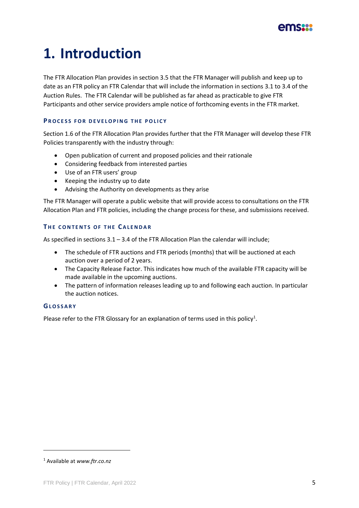

# **1. Introduction**

The FTR Allocation Plan provides in section 3.5 that the FTR Manager will publish and keep up to date as an FTR policy an FTR Calendar that will include the information in sections 3.1 to 3.4 of the Auction Rules. The FTR Calendar will be published as far ahead as practicable to give FTR Participants and other service providers ample notice of forthcoming events in the FTR market.

#### **PROCESS FOR DEVELOPING THE POLICY**

Section 1.6 of the FTR Allocation Plan provides further that the FTR Manager will develop these FTR Policies transparently with the industry through:

- Open publication of current and proposed policies and their rationale
- Considering feedback from interested parties
- Use of an FTR users' group
- Keeping the industry up to date
- Advising the Authority on developments as they arise

The FTR Manager will operate a public website that will provide access to consultations on the FTR Allocation Plan and FTR policies, including the change process for these, and submissions received.

#### **THE CONTENTS OF THE CALENDAR**

As specified in sections 3.1 – 3.4 of the FTR Allocation Plan the calendar will include;

- The schedule of FTR auctions and FTR periods (months) that will be auctioned at each auction over a period of 2 years.
- The Capacity Release Factor. This indicates how much of the available FTR capacity will be made available in the upcoming auctions.
- The pattern of information releases leading up to and following each auction. In particular the auction notices.

#### **GL O S S A R Y**

Please refer to the FTR Glossary for an explanation of terms used in this policy<sup>1</sup>.

<sup>1</sup> Available at *[www.ftr.co.nz](http://www.ftr.co.nz/)*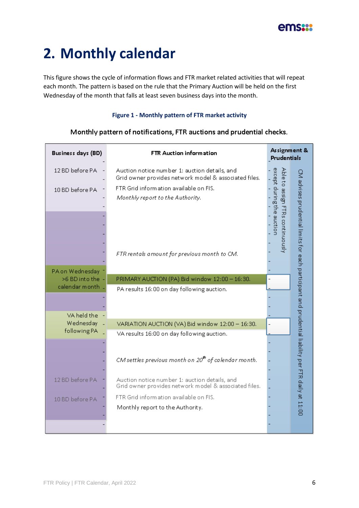

## **2. Monthly calendar**

This figure shows the cycle of information flows and FTR market related activities that will repeat each month. The pattern is based on the rule that the Primary Auction will be held on the first Wednesday of the month that falls at least seven business days into the month.

#### **Figure 1 - Monthly pattern of FTR market activity**

| Business days (BD)                | FTR Auction information                                                                                | Assignment &<br>Prudentials                        |                                                                                                      |  |  |  |  |  |  |
|-----------------------------------|--------------------------------------------------------------------------------------------------------|----------------------------------------------------|------------------------------------------------------------------------------------------------------|--|--|--|--|--|--|
| 12 BD before PA                   | Auction notice number 1: auction details, and<br>Grid owner provides network model & associated files. | Able<br>đ                                          |                                                                                                      |  |  |  |  |  |  |
| 10 BD before PA                   | FTR Grid information available on FIS.<br>Monthly report to the Authority.                             | except during the auction<br>assign<br><b>FTRS</b> |                                                                                                      |  |  |  |  |  |  |
|                                   |                                                                                                        | continuously                                       | M advises prudential limits for each participant and prudential liability per FTR daily at $11.00\,$ |  |  |  |  |  |  |
|                                   | FTR rentals amount for previous month to CM.                                                           |                                                    |                                                                                                      |  |  |  |  |  |  |
| PA on Wednesday<br>>6 BD into the | PRIMARY AUCTION (PA) Bid window 12:00 - 16:30.                                                         |                                                    |                                                                                                      |  |  |  |  |  |  |
| calendar month                    | PA results 16:00 on day following auction.                                                             |                                                    |                                                                                                      |  |  |  |  |  |  |
|                                   |                                                                                                        |                                                    |                                                                                                      |  |  |  |  |  |  |
| VA held the                       |                                                                                                        |                                                    |                                                                                                      |  |  |  |  |  |  |
| Wednesday                         | VARIATION AUCTION (VA) Bid window 12:00 - 16:30.                                                       |                                                    |                                                                                                      |  |  |  |  |  |  |
| following PA                      | VA results 16:00 on day following auction.                                                             |                                                    |                                                                                                      |  |  |  |  |  |  |
|                                   |                                                                                                        |                                                    |                                                                                                      |  |  |  |  |  |  |
|                                   | CM settles previous month on $20^{\text{th}}$ of calendar month.                                       |                                                    |                                                                                                      |  |  |  |  |  |  |
| 12 BD before PA                   | Auction notice number 1: auction details, and<br>Grid owner provides network model & associated files. |                                                    |                                                                                                      |  |  |  |  |  |  |
| 10 BD before PA                   | FTR Grid information available on FIS.                                                                 |                                                    |                                                                                                      |  |  |  |  |  |  |
|                                   | Monthly report to the Authority.                                                                       |                                                    |                                                                                                      |  |  |  |  |  |  |
|                                   |                                                                                                        |                                                    |                                                                                                      |  |  |  |  |  |  |

#### Monthly pattern of notifications, FTR auctions and prudential checks.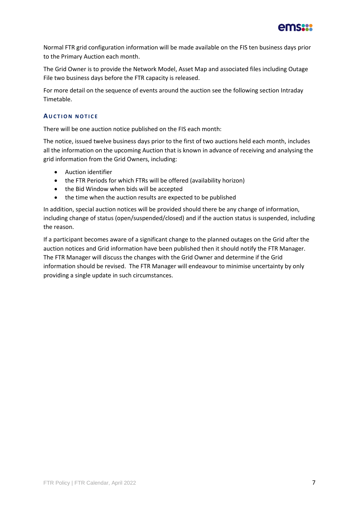

Normal FTR grid configuration information will be made available on the FIS ten business days prior to the Primary Auction each month.

The Grid Owner is to provide the Network Model, Asset Map and associated files including Outage File two business days before the FTR capacity is released.

For more detail on the sequence of events around the auction see the following section Intraday Timetable.

#### **AUCTION NOTICE**

There will be one auction notice published on the FIS each month:

The notice, issued twelve business days prior to the first of two auctions held each month, includes all the information on the upcoming Auction that is known in advance of receiving and analysing the grid information from the Grid Owners, including:

- Auction identifier
- the FTR Periods for which FTRs will be offered (availability horizon)
- the Bid Window when bids will be accepted
- the time when the auction results are expected to be published

In addition, special auction notices will be provided should there be any change of information, including change of status (open/suspended/closed) and if the auction status is suspended, including the reason.

If a participant becomes aware of a significant change to the planned outages on the Grid after the auction notices and Grid information have been published then it should notify the FTR Manager. The FTR Manager will discuss the changes with the Grid Owner and determine if the Grid information should be revised. The FTR Manager will endeavour to minimise uncertainty by only providing a single update in such circumstances.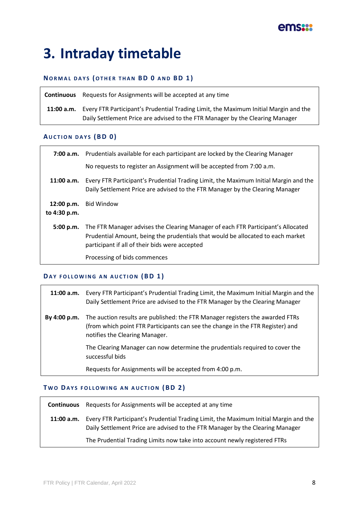

### **3. Intraday timetable**

#### **NO R M A L D A Y S (O T H E R T H A N B D 0 A N D B D 1 )**

**Continuous** Requests for Assignments will be accepted at any time **11:00 a.m.** Every FTR Participant's Prudential Trading Limit, the Maximum Initial Margin and the Daily Settlement Price are advised to the FTR Manager by the Clearing Manager

#### **AU C T I O N D A Y S (B D 0 )**

| 7:00 a.m.                  | Prudentials available for each participant are locked by the Clearing Manager                                                                                                                                         |
|----------------------------|-----------------------------------------------------------------------------------------------------------------------------------------------------------------------------------------------------------------------|
|                            | No requests to register an Assignment will be accepted from 7:00 a.m.                                                                                                                                                 |
| 11:00 a.m.                 | Every FTR Participant's Prudential Trading Limit, the Maximum Initial Margin and the<br>Daily Settlement Price are advised to the FTR Manager by the Clearing Manager                                                 |
| 12:00 p.m.<br>to 4:30 p.m. | <b>Bid Window</b>                                                                                                                                                                                                     |
| 5:00 p.m.                  | The FTR Manager advises the Clearing Manager of each FTR Participant's Allocated<br>Prudential Amount, being the prudentials that would be allocated to each market<br>participant if all of their bids were accepted |
|                            | Processing of bids commences                                                                                                                                                                                          |

### **DAY FOLLOWING AN AUCTION (BD 1)**

|              | 11:00 a.m. Every FTR Participant's Prudential Trading Limit, the Maximum Initial Margin and the<br>Daily Settlement Price are advised to the FTR Manager by the Clearing Manager                  |
|--------------|---------------------------------------------------------------------------------------------------------------------------------------------------------------------------------------------------|
| By 4:00 p.m. | The auction results are published: the FTR Manager registers the awarded FTRs<br>(from which point FTR Participants can see the change in the FTR Register) and<br>notifies the Clearing Manager. |
|              | The Clearing Manager can now determine the prudentials required to cover the<br>successful bids                                                                                                   |
|              | Requests for Assignments will be accepted from 4:00 p.m.                                                                                                                                          |

#### **TWO DAYS FOLLOWING AN AUCTION (BD 2)**

**Continuous** Requests for Assignments will be accepted at any time **11:00 a.m.** Every FTR Participant's Prudential Trading Limit, the Maximum Initial Margin and the Daily Settlement Price are advised to the FTR Manager by the Clearing Manager The Prudential Trading Limits now take into account newly registered FTRs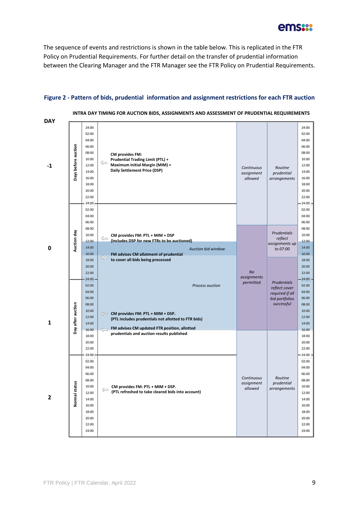

The sequence of events and restrictions is shown in the table below. This is replicated in the FTR Policy on Prudential Requirements. For further detail on the transfer of prudential information between the Clearing Manager and the FTR Manager see the FTR Policy on Prudential Requirements.

#### **Figure 2 - Pattern of bids, prudential information and assignment restrictions for each FTR auction**

| DAY |                     |                                                                                                                   |                                                                                                                                                                                                           |                                       |                                                                  |                                                                                                                   |
|-----|---------------------|-------------------------------------------------------------------------------------------------------------------|-----------------------------------------------------------------------------------------------------------------------------------------------------------------------------------------------------------|---------------------------------------|------------------------------------------------------------------|-------------------------------------------------------------------------------------------------------------------|
| -1  | Days before auction | 24:00<br>02:00<br>04:00<br>06:00<br>08:00<br>10:00<br>12:00<br>14:00<br>16:00<br>18:00<br>20:00<br>22:00<br>24:00 | <b>CM provides FM:</b><br><b>Prudential Trading Limit (PTL) +</b><br>⇐<br>Maximum Initial Margin (MIM) +<br>Daily Settlement Price (DSP)                                                                  | Continuous<br>assignment<br>allowed   | Routine<br>prudential<br>arrangements                            | 24:00<br>02:00<br>04:00<br>06:00<br>08:00<br>10:00<br>12:00<br>14:00<br>16:00<br>18:00<br>20:00<br>22:00<br>24:00 |
|     |                     | 02:00<br>04:00<br>06:00<br>08:00<br>10:00                                                                         |                                                                                                                                                                                                           |                                       | <b>Prudentials</b>                                               | 02:00<br>04:00<br>06:00<br>08:00<br>10:00                                                                         |
| 0   | Auction day         | 12:00<br>14:00<br>16:00<br>18:00                                                                                  | CM provides FM: PTL + MIM + DSP<br>$\Leftarrow$<br>(Includes DSP for new FTRs to be auctioned)<br><b>Auction bid window</b><br>FM advises CM allotment of prudential<br>to cover all bids being processed |                                       | reflect<br>assignments up<br>to 07:00                            | 12:00<br>14:00<br>16:00<br>18:00                                                                                  |
|     |                     | 20:00<br>22:00<br>24:00                                                                                           |                                                                                                                                                                                                           | <b>No</b><br>assignments<br>permitted | <b>Prudentials</b>                                               | 20:00<br>22:00<br>24:00                                                                                           |
| 1   | Day after auction   | 02:00<br>04:00<br>06:00<br>08:00<br>10:00<br>12:00<br>14:00                                                       | Process auction<br>$\iff$ CM provides FM: PTL + MIM + DSP.<br>(PTL includes prudentials not allotted to FTR bids)<br>FM advises CM updated FTR position, allotted<br>$\leftarrow$                         |                                       | reflect cover<br>required if all<br>bid portfolios<br>successful | 02:00<br>04:00<br>06:00<br>08:00<br>10:00<br>12:00<br>14:00                                                       |
|     |                     | 16:00<br>18:00<br>20:00<br>22:00<br>24:00                                                                         | prudentials and auction results published                                                                                                                                                                 |                                       |                                                                  | 16:00<br>18:00<br>20:00<br>22:00<br>24:00                                                                         |
| 2   | tatus<br>Normal st  | 02:00<br>04:00<br>06:00<br>08:00<br>10:00<br>12:00<br>14:00<br>16:00<br>18:00<br>20:00<br>22:00<br>24:00          | CM provides FM: PTL + MIM + DSP.<br>(PTL refreshed to take cleared bids into account)                                                                                                                     | Continuous<br>assignment<br>allowed   | Routine<br>prudential<br>arrangements                            | 02:00<br>04:00<br>06:00<br>08:00<br>10:00<br>12:00<br>14:00<br>16:00<br>18:00<br>20:00<br>22:00<br>24:00          |

**INTRA DAY TIMING FOR AUCTION BIDS, ASSIGNMENTS AND ASSESSMENT OF PRUDENTIAL REQUIREMENTS**

**DAY**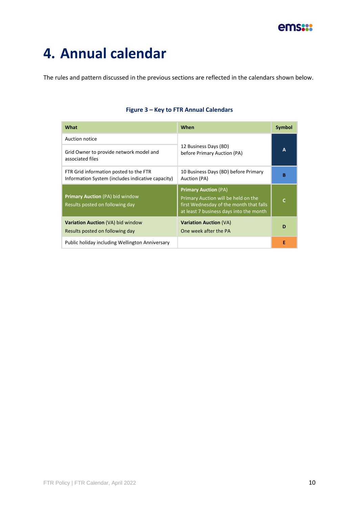

### **4. Annual calendar**

The rules and pattern discussed in the previous sections are reflected in the calendars shown below.

| What                                                                                        | When                                                                                                                                                     | <b>Symbol</b> |
|---------------------------------------------------------------------------------------------|----------------------------------------------------------------------------------------------------------------------------------------------------------|---------------|
| Auction notice                                                                              |                                                                                                                                                          |               |
| Grid Owner to provide network model and<br>associated files                                 | 12 Business Days (BD)<br>before Primary Auction (PA)                                                                                                     | A             |
| FTR Grid information posted to the FTR<br>Information System (includes indicative capacity) | 10 Business Days (BD) before Primary<br>Auction (PA)                                                                                                     | B             |
| <b>Primary Auction (PA) bid window</b><br>Results posted on following day                   | <b>Primary Auction (PA)</b><br>Primary Auction will be held on the<br>first Wednesday of the month that falls<br>at least 7 business days into the month | $\mathsf{C}$  |
| <b>Variation Auction (VA) bid window</b><br>Results posted on following day                 | <b>Variation Auction (VA)</b><br>One week after the PA                                                                                                   | D             |
| Public holiday including Wellington Anniversary                                             |                                                                                                                                                          | E             |

#### **Figure 3 – Key to FTR Annual Calendars**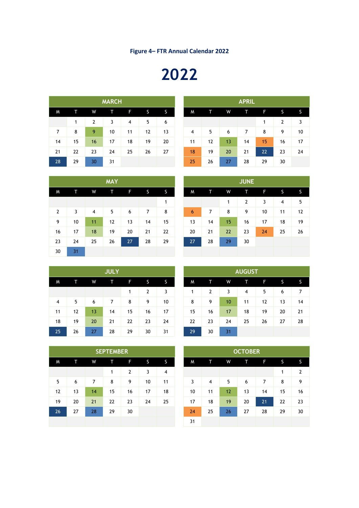# 

|    |    |    | <b>MARCH</b> |    |    |    |                | <b>APRIL</b> |    |    |    |                |
|----|----|----|--------------|----|----|----|----------------|--------------|----|----|----|----------------|
| M  |    | W  | т            | F  | S  | S  | M              | т            | W  | T  | F  |                |
|    | 1  | 2  | 3            | 4  | 5  | 6  |                |              |    |    | 1  | $\overline{2}$ |
| 7  | 8  | 9  | 10           | 11 | 12 | 13 | $\overline{4}$ | 5            | 6  | 7  | 8  | 9              |
| 14 | 15 | 16 | 17           | 18 | 19 | 20 | 11             | 12           | 13 | 14 | 15 | 16             |
| 21 | 22 | 23 | 24           | 25 | 26 | 27 | 18             | 19           | 20 | 21 | 22 | 23             |
| 28 | 29 | 30 | 31           |    |    |    | 25             | 26           | 27 | 28 | 29 | 30             |

|                |    |    | <b>MARCH</b> |    |    |    | <b>APRIL</b>   |    |    |    |    |    |    |  |
|----------------|----|----|--------------|----|----|----|----------------|----|----|----|----|----|----|--|
| M.             | г  | W  | Т            | F  | 'S | S  | M              | т  | W  | т  | F  | S  | S. |  |
|                | 1  | 2  | 3            | 4  | 5  | 6  |                |    |    |    |    | 2  | 3  |  |
| $\overline{7}$ | 8  | 9  | 10           | 11 | 12 | 13 | $\overline{4}$ | 5  | 6  | 7  | 8  | 9  | 10 |  |
| 14             | 15 | 16 | 17           | 18 | 19 | 20 | 11             | 12 | 13 | 14 | 15 | 16 | 17 |  |
| 21             | 22 | 23 | 24           | 25 | 26 | 27 | 18             | 19 | 20 | 21 | 22 | 23 | 24 |  |
| 28             | 29 | 30 | 31           |    |    |    | 25             | 26 | 27 | 28 | 29 | 30 |    |  |

**MAY JUNE**

|                |    |    | <b>MAY</b> |    |    |    |                 |                | <b>JUNE</b> |                |    |    |  |
|----------------|----|----|------------|----|----|----|-----------------|----------------|-------------|----------------|----|----|--|
| M              | т  | W  | Т          | F  | S  | S  | M               |                | W           | т              | F  | S  |  |
|                |    |    |            |    |    | 1  |                 |                | 1           | $\overline{2}$ | 3  | 4  |  |
| $\overline{2}$ | 3  | 4  | 5          | 6  | 7  | 8  | $6\phantom{1}6$ | $\overline{7}$ | 8           | 9              | 10 | 11 |  |
| 9              | 10 | 11 | 12         | 13 | 14 | 15 | 13              | 14             | 15          | 16             | 17 | 18 |  |
| 16             | 17 | 18 | 19         | 20 | 21 | 22 | 20              | 21             | 22          | 23             | 24 | 25 |  |
| 23             | 24 | 25 | 26         | 27 | 28 | 29 | 27              | 28             | 29          | 30             |    |    |  |
| 30             | 31 |    |            |    |    |    |                 |                |             |                |    |    |  |

|                | <b>JULY</b> |    |    |    |    |    |  |    |    |    | <b>AUGUST</b> |    |    |    |
|----------------|-------------|----|----|----|----|----|--|----|----|----|---------------|----|----|----|
| M              | т           | W  | П  | F  | S. | S  |  | M  |    | W  | т             | F  | S  |    |
|                |             |    |    | 1  | 2  | 3  |  | 1  | 2  | 3  | 4             | 5  | 6  | 7  |
| $\overline{4}$ | 5           | 6  | 7  | 8  | 9  | 10 |  | 8  | 9  | 10 | 11            | 12 | 13 | 14 |
| 11             | 12          | 13 | 14 | 15 | 16 | 17 |  | 15 | 16 | 17 | 18            | 19 | 20 | 21 |
| 18             | 19          | 20 | 21 | 22 | 23 | 24 |  | 22 | 23 | 24 | 25            | 26 | 27 | 28 |
| 25             | 26          | 27 | 28 | 29 | 30 | 31 |  | 29 | 30 | 31 |               |    |    |    |

| <b>JULY</b> |    |    |    |    |    |    |               |    |    |    |  |
|-------------|----|----|----|----|----|----|---------------|----|----|----|--|
|             |    |    |    |    |    |    | <b>AUGUST</b> |    |    |    |  |
|             |    |    |    |    |    |    |               |    |    |    |  |
|             |    |    |    |    |    |    |               |    |    |    |  |
| 26          | 27 | 28 | 29 | 27 | 28 | 29 | 30            |    |    |    |  |
| 19          | 20 | 21 | 22 | 20 | 21 | 22 | 23            | 24 | 25 | 26 |  |
| 12          | 13 | 14 | 15 | 13 | 14 | 15 | 16            | 17 | 18 | 19 |  |
| 5           | 6  | 7  | 8  | 6  | 7  | 8  | 9             | 10 | 11 | 12 |  |

|                |                |    | AUGUST |                |    |                |    |    |    |  |  |  |  |  |  |  |
|----------------|----------------|----|--------|----------------|----|----------------|----|----|----|--|--|--|--|--|--|--|
|                |                | S  | M      |                | W  |                | F  |    |    |  |  |  |  |  |  |  |
| 1              | $\overline{2}$ | 3  | 1      | $\overline{2}$ | 3  | $\overline{4}$ | 5  | 6  | 7  |  |  |  |  |  |  |  |
| 8              | 9              | 10 | 8      | 9              | 10 | 11             | 12 | 13 | 14 |  |  |  |  |  |  |  |
| 15             | 16             | 17 | 15     | 16             | 17 | 18             | 19 | 20 | 21 |  |  |  |  |  |  |  |
| $\overline{2}$ | 23             | 24 | 22     | 23             | 24 | 25             | 26 | 27 | 28 |  |  |  |  |  |  |  |
| 29             | 30             | 31 | 29     | 30             | 31 |                |    |    |    |  |  |  |  |  |  |  |

|    |    |    | <b>SEPTEMBER</b> |    |    |    | <b>OCTOBER</b> |    |                |    |    |    |              |                |
|----|----|----|------------------|----|----|----|----------------|----|----------------|----|----|----|--------------|----------------|
| M  | т  | W  | π                | F  | S. | S  |                | M  | т              | W  | т  | F  | <sub>S</sub> | <sub>S</sub>   |
|    |    |    | 1                | 2  | 3  | 4  |                |    |                |    |    |    | 1            | $\overline{2}$ |
| 5  | 6  | 7  | 8                | 9  | 10 | 11 |                | 3  | $\overline{4}$ | 5  | 6  | 7  | 8            | 9              |
| 12 | 13 | 14 | 15               | 16 | 17 | 18 |                | 10 | 11             | 12 | 13 | 14 | 15           | 16             |
| 19 | 20 | 21 | 22               | 23 | 24 | 25 |                | 17 | 18             | 19 | 20 | 21 | 22           | 23             |
| 26 | 27 | 28 | 29               | 30 |    |    |                | 24 | 25             | 26 | 27 | 28 | 29           | 30             |
|    |    |    |                  |    |    |    |                | 31 |                |    |    |    |              |                |

| <b>EMBER</b> |                |    |    |    |    |    | <b>OCTOBER</b> |                |    |    |
|--------------|----------------|----|----|----|----|----|----------------|----------------|----|----|
|              | F              | S  | S  | M  | Т  | W  | т              | F              | S  | S  |
| 1            | $\overline{2}$ | 3  | 4  |    |    |    |                |                | 1  | 2  |
| 8            | 9              | 10 | 11 | 3  | 4  | 5  | 6              | $\overline{7}$ | 8  | 9  |
| 15           | 16             | 17 | 18 | 10 | 11 | 12 | 13             | 14             | 15 | 16 |
| 22           | 23             | 24 | 25 | 17 | 18 | 19 | 20             | 21             | 22 | 23 |
| 29           | 30             |    |    | 24 | 25 | 26 | 27             | 28             | 29 | 30 |
|              |                |    |    | 31 |    |    |                |                |    |    |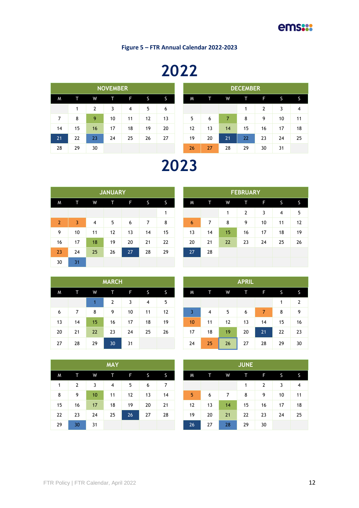**Figure 5 – FTR Annual Calendar 2022-2023**

# 

|                |    |    | <b>NOVEMBER</b> |                |    |    |    |    |    | <b>DECEMBER</b> |    |    |  |
|----------------|----|----|-----------------|----------------|----|----|----|----|----|-----------------|----|----|--|
| M              | т  | W  |                 | F.             | S  | S  | M  |    | W  | Т               | F  | S  |  |
|                | 1  | 2  | 3               | $\overline{4}$ | 5  | 6  |    |    |    | 1               | 2  | 3  |  |
| $\overline{7}$ | 8  | 9  | 10              | 11             | 12 | 13 | 5  | 6  | 7  | 8               | 9  | 10 |  |
| 14             | 15 | 16 | 17              | 18             | 19 | 20 | 12 | 13 | 14 | 15              | 16 | 17 |  |
| 21             | 22 | 23 | 24              | 25             | 26 | 27 | 19 | 20 | 21 | 22              | 23 | 24 |  |
| 28             | 29 | 30 |                 |                |    |    | 26 | 27 | 28 | 29              | 30 | 31 |  |

|                |    |    | <b>NOVEMBER</b> |    |    |    |    |    |    | <b>DECEMBER</b> |    |    |    |
|----------------|----|----|-----------------|----|----|----|----|----|----|-----------------|----|----|----|
| W              | т  | W  | т               | F  | S  | S  | M  |    | W  |                 | F  | S  | S. |
|                | 1  | 2  | 3               | 4  | 5  | 6  |    |    |    |                 | 2  | 3  | 4  |
| 7              | 8  | 9  | 10              | 11 | 12 | 13 | 5  | 6  | 7  | 8               | 9  | 10 | 11 |
| $\overline{4}$ | 15 | 16 | 17              | 18 | 19 | 20 | 12 | 13 | 14 | 15              | 16 | 17 | 18 |
| 21             | 22 | 23 | 24              | 25 | 26 | 27 | 19 | 20 | 21 | 22              | 23 | 24 | 25 |
| 28             | 29 | 30 |                 |    |    |    | 26 | 27 | 28 | 29              | 30 | 31 |    |

### 

|    |                | <b>JANUARY</b> |    |    |    |    |    |    | <b>FEBRUARY</b> |    |    |  |
|----|----------------|----------------|----|----|----|----|----|----|-----------------|----|----|--|
| т  | W              | т              | F  | S. | S  | M  | т  | W  | т               | F  | S  |  |
|    |                |                |    |    | 1  |    |    | 1  | 2               | 3  | 4  |  |
| 3  | $\overline{4}$ | 5              | 6  | 7  | 8  | 6  | 7  | 8  | 9               | 10 | 11 |  |
| 10 | 11             | 12             | 13 | 14 | 15 | 13 | 14 | 15 | 16              | 17 | 18 |  |
| 17 | 18             | 19             | 20 | 21 | 22 | 20 | 21 | 22 | 23              | 24 | 25 |  |
| 24 | 25             | 26             | 27 | 28 | 29 | 27 | 28 |    |                 |    |    |  |
| 31 |                |                |    |    |    |    |    |    |                 |    |    |  |

|    | <b>FEBRUARY</b> |    |    |    |    |    |    |  |  |  |  |  |  |  |
|----|-----------------|----|----|----|----|----|----|--|--|--|--|--|--|--|
| S  | M               | Т  | W  | Т  | F  | S  | S  |  |  |  |  |  |  |  |
| 1  |                 |    | 1  | 2  | 3  | 4  | 5  |  |  |  |  |  |  |  |
| 8  | 6               | 7  | 8  | 9  | 10 | 11 | 12 |  |  |  |  |  |  |  |
| 15 | 13              | 14 | 15 | 16 | 17 | 18 | 19 |  |  |  |  |  |  |  |
| 22 | 20              | 21 | 22 | 23 | 24 | 25 | 26 |  |  |  |  |  |  |  |
| 29 | 27              | 28 |    |    |    |    |    |  |  |  |  |  |  |  |
|    |                 |    |    |    |    |    |    |  |  |  |  |  |  |  |

|    |    |    | <b>MARCH</b> |    |                |    |    | <b>APRIL</b> |    |    |
|----|----|----|--------------|----|----------------|----|----|--------------|----|----|
| M  | т  | W  | T            | F  | S              | S  | M  |              | W  |    |
|    |    | 1  | 2            | 3  | $\overline{4}$ | 5  |    |              |    |    |
| 6  | 7  | 8  | 9            | 10 | 11             | 12 | 3  | 4            | 5  |    |
| 13 | 14 | 15 | 16           | 17 | 18             | 19 | 10 | 11           | 12 |    |
| 20 | 21 | 22 | 23           | 24 | 25             | 26 | 17 | 18           | 19 |    |
| 27 | 28 | 29 | 30           | 31 |                |    | 24 | 25           | 26 | 27 |

|    |    |    | <b>MARCH</b>   |    |    |    |  |  |  |  |  |  |
|----|----|----|----------------|----|----|----|--|--|--|--|--|--|
| W  | т. | W  | т              | F  | S  | S. |  |  |  |  |  |  |
|    |    |    | $\overline{2}$ | 3  | 4  | 5  |  |  |  |  |  |  |
| 6  | 7  | 8  | 9              | 10 | 11 | 12 |  |  |  |  |  |  |
| 13 | 14 | 15 | 16             | 17 | 18 | 19 |  |  |  |  |  |  |
| 20 | 21 | 22 | 23             | 24 | 25 | 26 |  |  |  |  |  |  |
| 27 | 28 | 29 | 30             | 31 |    |    |  |  |  |  |  |  |

|    |    |    | <b>MAY</b> |    |    |    |    |    |    | <b>JUNE</b> |    |
|----|----|----|------------|----|----|----|----|----|----|-------------|----|
| M. |    | W  | Т          | F  | S  | S. | M. | т  | W  |             | Ē  |
| 1  | 2  | 3  | 4          | 5  | 6  | 7  |    |    |    | 1           | 2  |
| 8  | 9  | 10 | 11         | 12 | 13 | 14 | 5  | 6  | 7  | 8           | 9  |
| 15 | 16 | 17 | 18         | 19 | 20 | 21 | 12 | 13 | 14 | 15          | 16 |
| 22 | 23 | 24 | 25         | 26 | 27 | 28 | 19 | 20 | 21 | 22          | 23 |
| 29 | 30 | 31 |            |    |    |    | 26 | 27 | 28 | 29          | 30 |

|    | г              | W  | т  | F  | S  | S  |
|----|----------------|----|----|----|----|----|
|    | $\overline{2}$ | 3  | 4  | 5  | 6  | 7  |
|    | 9              | 10 | 11 | 12 | 13 | 14 |
| 15 | 16             | 17 | 18 | 19 | 20 | 21 |
| 22 | 23             | 24 | 25 | 26 | 27 | 28 |
| 29 | 30             | 31 |    |    |    |    |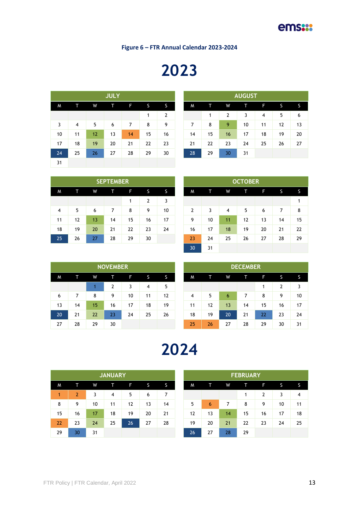**Figure 6 – FTR Annual Calendar 2023-2024**

# 

|          |    |    | <b>JULY</b> |    |    |    | <b>AUGUST</b> |    |    |    |    |    |    |  |
|----------|----|----|-------------|----|----|----|---------------|----|----|----|----|----|----|--|
| <b>M</b> | т  | W  | т           | F  | S  | S  | M             | T  | W  | T  | F  | S. | S  |  |
|          |    |    |             |    | 1  | 2  |               | 1  | 2  | 3  | 4  | 5  | 6  |  |
| 3        | 4  | 5  | 6           | 7  | 8  | 9  | 7             | 8  | 9  | 10 | 11 | 12 | 13 |  |
| 10       | 11 | 12 | 13          | 14 | 15 | 16 | 14            | 15 | 16 | 17 | 18 | 19 | 20 |  |
| 17       | 18 | 19 | 20          | 21 | 22 | 23 | 21            | 22 | 23 | 24 | 25 | 26 | 27 |  |
| 24       | 25 | 26 | 27          | 28 | 29 | 30 | 28            | 29 | 30 | 31 |    |    |    |  |
| 31       |    |    |             |    |    |    |               |    |    |    |    |    |    |  |

| <b>JULY</b> |    |    |    |    |    |    | <b>AUGUST</b> |    |    |    |
|-------------|----|----|----|----|----|----|---------------|----|----|----|
| т           | F  | S  | 'S | M  | Т  | W  | т             | F  | S  |    |
|             |    | 1  | 2  |    | 1  | 2  | 3             | 4  | 5  | 6  |
| 6           | 7  | 8  | 9  | 7  | 8  | 9  | 10            | 11 | 12 | 13 |
| 13          | 14 | 15 | 16 | 14 | 15 | 16 | 17            | 18 | 19 | 20 |
| 20          | 21 | 22 | 23 | 21 | 22 | 23 | 24            | 25 | 26 | 27 |
| 27          | 28 | 29 | 30 | 28 | 29 | 30 | 31            |    |    |    |

|                |    |    | <b>SEPTEMBER</b> |    |    |    |                |    |                | <b>OCTOBER</b> |    |    |  |
|----------------|----|----|------------------|----|----|----|----------------|----|----------------|----------------|----|----|--|
| M              | т  | W  |                  | F  | 'S | 'S | M              |    | W              | т              | F  | S  |  |
|                |    |    |                  | 1  | 2  | 3  |                |    |                |                |    |    |  |
| $\overline{4}$ | 5  | 6  |                  | 8  | 9  | 10 | $\overline{2}$ | 3  | $\overline{4}$ | 5              | 6  |    |  |
| 11             | 12 | 13 | 14               | 15 | 16 | 17 | 9              | 10 | 11             | 12             | 13 | 14 |  |
| 18             | 19 | 20 | 21               | 22 | 23 | 24 | 16             | 17 | 18             | 19             | 20 | 21 |  |
| 25             | 26 | 27 | 28               | 29 | 30 |    | 23             | 24 | 25             | 26             | 27 | 28 |  |

|    |                |    |                |    |                | <b>OCTOBER</b> |    |    |    |
|----|----------------|----|----------------|----|----------------|----------------|----|----|----|
| F  | S              | S  | M              | Т  | W              | Т              | F  | S  | S  |
| 1  | $\overline{2}$ | 3  |                |    |                |                |    |    | 1  |
| 8  | 9              | 10 | $\overline{2}$ | 3  | $\overline{4}$ | 5              | 6  | 7  | 8  |
| 15 | 16             | 17 | 9              | 10 | 11             | 12             | 13 | 14 | 15 |
| 22 | 23             | 24 | 16             | 17 | 18             | 19             | 20 | 21 | 22 |
| 29 | 30             |    | 23             | 24 | 25             | 26             | 27 | 28 | 29 |
|    |                |    | 30             | 31 |                |                |    |    |    |

|    |    |    | <b>NOVEMBER</b> |    |    |    |
|----|----|----|-----------------|----|----|----|
| M  |    | W  |                 | F  | S  | S  |
|    |    |    | 2               | 3  | 4  | 5  |
| 6  |    | 8  | 9               | 10 | 11 | 12 |
| 13 | 14 | 15 | 16              | 17 | 18 | 19 |
| 20 | 21 | 22 | 23              | 24 | 25 | 26 |
| 27 | 28 | 29 | 30              |    |    |    |

## 

|    |    |    | <b>JANUARY</b> |    |    |    |    |    |    | <b>FEBRUARY</b> |    |    |    |
|----|----|----|----------------|----|----|----|----|----|----|-----------------|----|----|----|
| M  | т  | W  | т              | F  | S  | S  | M. | т  | W  |                 | F  | S  | S. |
| 1  | 2  | 3  | 4              | 5  | 6  | 7  |    |    |    |                 | 2  | 3  | 4  |
| 8  | 9  | 10 | 11             | 12 | 13 | 14 | 5  | 6  | 7  | 8               | 9  | 10 | 11 |
| 15 | 16 | 17 | 18             | 19 | 20 | 21 | 12 | 13 | 14 | 15              | 16 | 17 | 18 |
| 22 | 23 | 24 | 25             | 26 | 27 | 28 | 19 | 20 | 21 | 22              | 23 | 24 | 25 |
| 29 | 30 | 31 |                |    |    |    | 26 | 27 | 28 | 29              |    |    |    |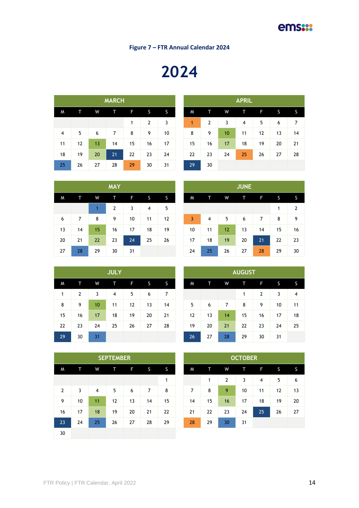**Figure 7 – FTR Annual Calendar 2024**

# 

|    |    |    | <b>MARCH</b> |    |                |    |    |    |    | <b>APRIL</b> |    |    |    |
|----|----|----|--------------|----|----------------|----|----|----|----|--------------|----|----|----|
| M  | т  | W  | Т            | F  | S              | S  | M  | т  | W  | т            | F  | S  |    |
|    |    |    |              | 1  | $\overline{2}$ | 3  | 1  | 2  | 3  | 4            | 5  | 6  | 7  |
| 4  | 5  | 6  | 7            | 8  | 9              | 10 | 8  | 9  | 10 | 11           | 12 | 13 | 14 |
| 11 | 12 | 13 | 14           | 15 | 16             | 17 | 15 | 16 | 17 | 18           | 19 | 20 | 21 |
| 18 | 19 | 20 | 21           | 22 | 23             | 24 | 22 | 23 | 24 | 25           | 26 | 27 | 28 |
| 25 | 26 | 27 | 28           | 29 | 30             | 31 | 29 | 30 |    |              |    |    |    |

|                 |    |    | <b>MARCH</b> |    |                |    |    |                |    | <b>APRIL</b> |    |    |    |
|-----------------|----|----|--------------|----|----------------|----|----|----------------|----|--------------|----|----|----|
| W               | Т  | W  | т            | F  | S              | S. | M  | т              | W  | T            | F  | S  | S  |
|                 |    |    |              | 1  | $\overline{2}$ | 3  | 1  | $\overline{2}$ | 3  | 4            | 5  | 6  | 7  |
| 4               | 5  | 6  | 7            | 8  | 9              | 10 | 8  | 9              | 10 | 11           | 12 | 13 | 14 |
| 1               | 12 | 13 | 14           | 15 | 16             | 17 | 15 | 16             | 17 | 18           | 19 | 20 | 21 |
| 18              | 19 | 20 | 21           | 22 | 23             | 24 | 22 | 23             | 24 | 25           | 26 | 27 | 28 |
| 25 <sub>1</sub> | 26 | 27 | 28           | 29 | 30             | 31 | 29 | 30             |    |              |    |    |    |

|    |    |    | <b>MAY</b>     |    |    |    |    |    |    | <b>JUNE</b> |    |    |                |
|----|----|----|----------------|----|----|----|----|----|----|-------------|----|----|----------------|
| M  | т  | W  | ſΤ             | F  | S  | S  | M  |    | W  | Т           | F  | S  |                |
|    |    |    | $\overline{2}$ | 3  | 4  | 5  |    |    |    |             |    | 1  | $\overline{2}$ |
| 6  | 7  | 8  | 9              | 10 | 11 | 12 | 3  | 4  | 5  | 6           | 7  | 8  | 9              |
| 13 | 14 | 15 | 16             | 17 | 18 | 19 | 10 | 11 | 12 | 13          | 14 | 15 | 16             |
| 20 | 21 | 22 | 23             | 24 | 25 | 26 | 17 | 18 | 19 | 20          | 21 | 22 | 23             |
| 27 | 28 | 29 | 30             | 31 |    |    | 24 | 25 | 26 | 27          | 28 | 29 | 30             |

|    |    |                  | <b>JULY</b> |    |    |    |    |    |    | <b>AUGUST</b> |    |    |                |
|----|----|------------------|-------------|----|----|----|----|----|----|---------------|----|----|----------------|
| M  |    | W                | π           | F  | S  | S  | M  | íΤ | W  | т             | F  | S  |                |
| 1  | 2  | 3                | 4           | 5  | 6  | 7  |    |    |    | 1             | 2  | 3  | $\overline{4}$ |
| 8  | 9  | 10 <sup>10</sup> | 11          | 12 | 13 | 14 | 5  | 6  | 7  | 8             | 9  | 10 | 11             |
| 15 | 16 | 17               | 18          | 19 | 20 | 21 | 12 | 13 | 14 | 15            | 16 | 17 | 18             |
| 22 | 23 | 24               | 25          | 26 | 27 | 28 | 19 | 20 | 21 | 22            | 23 | 24 | 25             |
| 29 | 30 | 31               |             |    |    |    | 26 | 27 | 28 | 29            | 30 | 31 |                |

|    |    |    | <b>AUGUST</b> |                |    |    |
|----|----|----|---------------|----------------|----|----|
| W  | đΓ | W  | ſΤ            | F              | S  | S  |
|    |    |    | 1             | $\overline{2}$ | 3  | 4  |
| 5  | 6  | 7  | 8             | 9              | 10 | 11 |
| 12 | 13 | 14 | 15            | 16             | 17 | 18 |
| 19 | 20 | 21 | 22            | 23             | 24 | 25 |
| 26 | 27 | 28 | 29            | 30             | 31 |    |

|                |    |                | <b>SEPTEMBER</b> |    |    |    |                |    |                | <b>OCTOBER</b> |                |              |  |
|----------------|----|----------------|------------------|----|----|----|----------------|----|----------------|----------------|----------------|--------------|--|
| M              | т  | W              | Т                | F  | S  | S  | M              | т  | W              | т              | F              | <sub>S</sub> |  |
|                |    |                |                  |    |    | 1  |                | 1  | $\overline{2}$ | 3              | $\overline{4}$ | 5            |  |
| $\overline{2}$ | 3  | $\overline{4}$ | 5                | 6  | 7  | 8  | $\overline{7}$ | 8  | 9              | 10             | 11             | 12           |  |
| 9              | 10 | 11             | 12               | 13 | 14 | 15 | 14             | 15 | 16             | 17             | 18             | 19           |  |
| 16             | 17 | 18             | 19               | 20 | 21 | 22 | 21             | 22 | 23             | 24             | 25             | 26           |  |
| 23             | 24 | 25             | 26               | 27 | 28 | 29 | 28             | 29 | 30             | 31             |                |              |  |
| 30             |    |                |                  |    |    |    |                |    |                |                |                |              |  |

|         |    |    | <b>SEPTEMBER</b> |    |    |    |    |    |    | <b>OCTOBER</b> |    |    |  |
|---------|----|----|------------------|----|----|----|----|----|----|----------------|----|----|--|
| W       |    | W  | т                | F  | S. | S  | M  | т  | W  | т              | F  | S  |  |
|         |    |    |                  |    |    | 1  |    | 1  | 2  | 3              | 4  | 5  |  |
| 2       | 3  | 4  | 5                | 6  | 7  | 8  | 7  | 8  | 9  | 10             | 11 | 12 |  |
| 9       | 10 | 11 | 12               | 13 | 14 | 15 | 14 | 15 | 16 | 17             | 18 | 19 |  |
| ۱6      | 17 | 18 | 19               | 20 | 21 | 22 | 21 | 22 | 23 | 24             | 25 | 26 |  |
| $^{23}$ | 24 | 25 | 26               | 27 | 28 | 29 | 28 | 29 | 30 | 31             |    |    |  |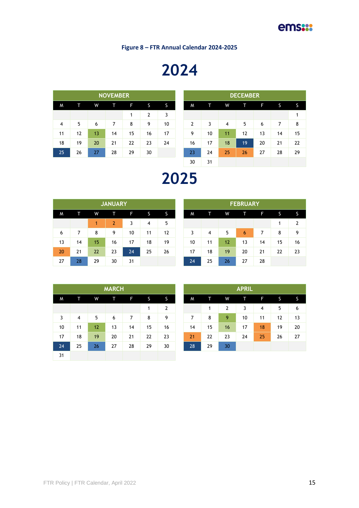**Figure 8 – FTR Annual Calendar 2024-2025**

# 

| <b>NOVEMBER</b> |    |    |    |    |              |    |  |  |  |  |  |  |
|-----------------|----|----|----|----|--------------|----|--|--|--|--|--|--|
| M               | т  | W  | íΤ | F  | S            | S  |  |  |  |  |  |  |
|                 |    |    |    | 1  | $\mathbf{2}$ | 3  |  |  |  |  |  |  |
| 4               | 5  | 6  | 7  | 8  | 9            | 10 |  |  |  |  |  |  |
| 11              | 12 | 13 | 14 | 15 | 16           | 17 |  |  |  |  |  |  |
| 18              | 19 | 20 | 21 | 22 | 23           | 24 |  |  |  |  |  |  |
| 25              | 26 | 27 | 28 | 29 | 30           |    |  |  |  |  |  |  |

|                |    |    | <b>NOVEMBER</b> |    |    |    |  |    |    |    |    |    |    |    |
|----------------|----|----|-----------------|----|----|----|--|----|----|----|----|----|----|----|
| W              | т. | W  | Т               | F  | S  | S  |  | M  | т  | W  | т  | F  | S. | S  |
|                |    |    |                 | 1  | 2  | 3  |  |    |    |    |    |    |    | 1  |
| $\overline{4}$ | 5  | 6  | 7               | 8  | 9  | 10 |  | 2  | 3  | 4  | 5  | 6  | 7  | 8  |
| 11             | 12 | 13 | 14              | 15 | 16 | 17 |  | 9  | 10 | 11 | 12 | 13 | 14 | 15 |
| 18             | 19 | 20 | 21              | 22 | 23 | 24 |  | 16 | 17 | 18 | 19 | 20 | 21 | 22 |
| 25             | 26 | 27 | 28              | 29 | 30 |    |  | 23 | 24 | 25 | 26 | 27 | 28 | 29 |
|                |    |    |                 |    |    |    |  | 30 | 31 |    |    |    |    |    |

### 

|    |    |    | <b>JANUARY</b> |    |    |    |    |    |    | <b>FEBRUARY</b> |    |    |                |
|----|----|----|----------------|----|----|----|----|----|----|-----------------|----|----|----------------|
| M  |    | W  | т              | F  | S  | S  | M  |    | W  |                 | F  | S  |                |
|    |    | 1  | $\mathbf{2}$   |    | 4  | 5  |    |    |    |                 |    |    | $\overline{2}$ |
| 6  | 7  | 8  | 9              | 10 | 11 | 12 |    | 4  | 5  | 6               | 7  | 8  | 9              |
| 13 | 14 | 15 | 16             | 17 | 18 | 19 | 10 | 11 | 12 | 13              | 14 | 15 | 16             |
| 20 | 21 | 22 | 23             | 24 | 25 | 26 | 17 | 18 | 19 | 20              | 21 | 22 | 23             |
| 27 | 28 | 29 | 30             | 31 |    |    | 24 | 25 | 26 | 27              | 28 |    |                |

| <b>FEBRUARY</b> |    |    |    |    |    |    |  |  |  |  |  |  |
|-----------------|----|----|----|----|----|----|--|--|--|--|--|--|
| W               | Τ  | W  | т  | F  | S  | S  |  |  |  |  |  |  |
|                 |    |    |    |    | 1  | 2  |  |  |  |  |  |  |
| 3               | 4  | 5  | 6  | 7  | 8  | 9  |  |  |  |  |  |  |
| 10              | 11 | 12 | 13 | 14 | 15 | 16 |  |  |  |  |  |  |
| 17              | 18 | 19 | 20 | 21 | 22 | 23 |  |  |  |  |  |  |
| 24              | 25 | 26 | 27 | 28 |    |    |  |  |  |  |  |  |

|    |    |    | <b>MARCH</b> |    |    |    |    |    |    | <b>APRIL</b> |    |    |  |
|----|----|----|--------------|----|----|----|----|----|----|--------------|----|----|--|
| M  | т. | W  | Т            | F. | S  | S  | M  | т  | W  | π            | F  | S  |  |
|    |    |    |              |    | 1  | 2  |    | 1  | 2  | 3            | 4  | 5  |  |
| 3  | 4  | 5  | 6            | 7  | 8  | 9  | 7  | 8  | 9  | 10           | 11 | 12 |  |
| 10 | 11 | 12 | 13           | 14 | 15 | 16 | 14 | 15 | 16 | 17           | 18 | 19 |  |
| 17 | 18 | 19 | 20           | 21 | 22 | 23 | 21 | 22 | 23 | 24           | 25 | 26 |  |
| 24 | 25 | 26 | 27           | 28 | 29 | 30 | 28 | 29 | 30 |              |    |    |  |
| 31 |    |    |              |    |    |    |    |    |    |              |    |    |  |

|    |    |    | <b>MARCH</b> |    |    |    |    |    |    | <b>APRIL</b> |    |    |  |
|----|----|----|--------------|----|----|----|----|----|----|--------------|----|----|--|
|    |    | W  |              | F  | S  | S  | M  |    | W  | т            | F  | S  |  |
|    |    |    |              |    | 1  | 2  |    | 1  | 2  | 3            | 4  | 5  |  |
| 3  | 4  | 5  | 6            | 7  | 8  | 9  | 7  | 8  | 9  | 10           | 11 | 12 |  |
| 10 | 11 | 12 | 13           | 14 | 15 | 16 | 14 | 15 | 16 | 17           | 18 | 19 |  |
| 17 | 18 | 19 | 20           | 21 | 22 | 23 | 21 | 22 | 23 | 24           | 25 | 26 |  |
| 24 | 25 | 26 | 27           | 28 | 29 | 30 | 28 | 29 | 30 |              |    |    |  |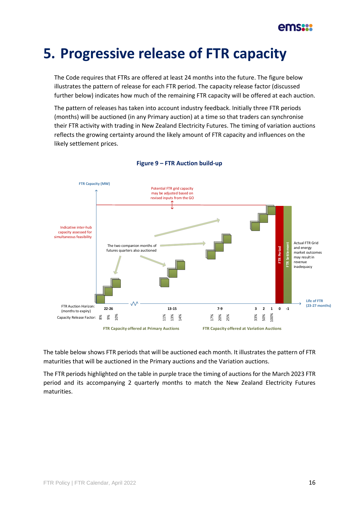### **5. Progressive release of FTR capacity**

The Code requires that FTRs are offered at least 24 months into the future. The figure below illustrates the pattern of release for each FTR period. The capacity release factor (discussed further below) indicates how much of the remaining FTR capacity will be offered at each auction.

The pattern of releases has taken into account industry feedback. Initially three FTR periods (months) will be auctioned (in any Primary auction) at a time so that traders can synchronise their FTR activity with trading in New Zealand Electricity Futures. The timing of variation auctions reflects the growing certainty around the likely amount of FTR capacity and influences on the likely settlement prices.

<span id="page-15-0"></span>

#### **Figure 9 – FTR Auction build-up**

The table below shows FTR periods that will be auctioned each month. It illustrates the pattern of FTR maturities that will be auctioned in the Primary auctions and the Variation auctions.

The FTR periods highlighted on the table in purple trace the timing of auctions for the March 2023 FTR period and its accompanying 2 quarterly months to match the New Zealand Electricity Futures maturities.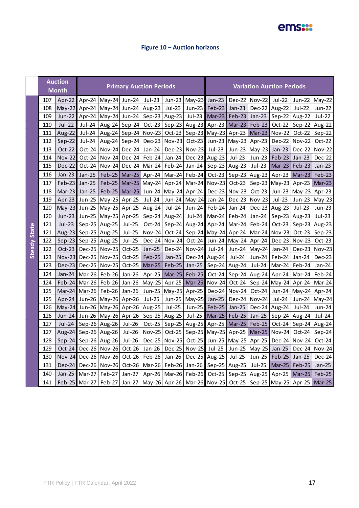### ems:

### **Figure 10 – Auction horizons**

|                     |     | <b>Auction</b><br><b>Month</b> |               |                                                                                                  |               | <b>Primary Auction Periods</b> |                 |                                            |                      |                          | <b>Variation Auction Periods</b> |                 |                 |               |
|---------------------|-----|--------------------------------|---------------|--------------------------------------------------------------------------------------------------|---------------|--------------------------------|-----------------|--------------------------------------------|----------------------|--------------------------|----------------------------------|-----------------|-----------------|---------------|
|                     | 107 | Apr-22                         |               | Apr-24   May-24   Jun-24                                                                         |               | Jul-23                         |                 | Jun-23 May-23 Jan-23                       |                      |                          | Dec-22 Nov-22                    | Jul-22          | Jun-22          | May-22        |
|                     | 108 | $May-22$                       | Apr-24        | May-24  Jun-24                                                                                   |               | Aug-23                         | Jul-23          | Jun-23                                     | Feb-23               | $Jan-23$                 | Dec-22 Aug-22                    |                 | Jul-22          | Jun-22        |
|                     | 109 | Jun-22                         | Apr-24        | May-24 Jun-24                                                                                    |               |                                | Sep-23   Aug-23 |                                            | Jul-23 Mar-23        | Feb-23                   | Jan-23                           | Sep-22 Aug-22   |                 | Jul-22        |
|                     | 110 | <b>Jul-22</b>                  | Jul-24        | Aug-24                                                                                           | $Sep-24$      | $Oct-23$                       |                 | Sep-23 Aug-23 Apr-23 Mar-23                |                      |                          | $Feb-23$                         | Oct-22          | Sep-22          | Aug-22        |
|                     | 111 | Aug-22                         | Jul-24        | Aug-24                                                                                           |               | Sep-24 Nov-23                  | $Oct-23$        |                                            | Sep-23 May-23 Apr-23 |                          | Mar-23 Nov-22                    |                 | Oct-22          | Sep-22        |
|                     | 112 | Sep-22                         | Jul-24        | Aug-24                                                                                           | Sep-24        | $Dec-23$                       | <b>Nov-23</b>   | Oct-23                                     |                      | Jun-23   May-23   Apr-23 |                                  | Dec-22          | <b>Nov-22</b>   | $Oct-22$      |
|                     | 113 | Oct-22                         | Oct-24        | Nov-24                                                                                           | Dec-24        | $Jan-24$                       |                 | Dec-23 Nov-23                              | Jul-23               | Jun-23                   | $May-23$                         | Jan- $23$       | Dec-22          | <b>Nov-22</b> |
|                     | 114 | <b>Nov-22</b>                  | Oct-24        | <b>Nov-24</b>                                                                                    |               | Dec-24   Feb-24                | Jan-24 $ $      |                                            | Dec-23 Aug-23        | Jul-23                   | Jun-23                           | Feb-23          | $Jan-23$        | Dec-22        |
|                     | 115 | <b>Dec-22</b>                  | Oct-24        | <b>Nov-24</b>                                                                                    |               | Dec-24 Mar-24                  |                 | Feb-24 Jan-24 Sep-23   Aug-23              |                      |                          | Jul-23                           | Mar-23          | Feb-23          | $Jan-23$      |
|                     | 116 | $Jan-23$                       | Jan-25        |                                                                                                  |               | Feb-25   Mar-25   Apr-24       |                 | Mar-24 Feb-24                              | $Oct-23$             |                          | Sep-23 Aug-23                    | Apr-23          | Mar-23          | Feb-23        |
|                     | 117 | Feb-23                         | Jan-25        | $Feb-25$                                                                                         | Mar-25        | $May-24$                       | Apr-24          |                                            | Mar-24 Nov-23        | Oct-23                   | Sep-23   May-23                  |                 | Apr-23          | $Mar-23$      |
|                     | 118 | Mar-23                         | Jan-25        |                                                                                                  | Feb-25 Mar-25 | Jun-24                         |                 | May-24 Apr-24                              |                      |                          | Dec-23 Nov-23 Oct-23             |                 | Jun-23   May-23 | Apr-23        |
|                     | 119 | Apr-23                         | <b>Jun-25</b> | May-25 Apr-25                                                                                    |               | Jul-24                         |                 | Jun-24   May-24   Jan-24                   |                      | Dec-23                   | Nov-23                           | Jul-23          | Jun-23 May-23   |               |
|                     | 120 | $May-23$                       | <b>Jun-25</b> | May-25 Apr-25                                                                                    |               | Aug-24                         | Jul-24          | Jun-24                                     | $Feb-24$             | Jan-24                   | Dec-23 Aug-23                    |                 | Jul-23          | Jun-23        |
|                     | 120 | <b>Jun-23</b>                  | Jun-25        | May-25 Apr-25                                                                                    |               |                                | Sep-24   Aug-24 |                                            |                      | Jul-24 Mar-24 Feb-24     | Jan-24                           | Sep-23   Aug-23 |                 | Jul-23        |
|                     | 121 | $Jul-23$                       |               | Sep-25 Aug-25                                                                                    | Jul-25        | Oct-24                         |                 | Sep-24 Aug-24 Apr-24 Mar-24                |                      |                          | $Feb-24$                         | $Oct-23$        | Sep-23 Aug-23   |               |
| <b>Steady State</b> | 121 | Aug-23                         |               | Sep-25   Aug-25                                                                                  | Jul-25        | <b>Nov-24</b>                  |                 | Oct-24   Sep-24   May-24   Apr-24          |                      |                          | Mar-24 Nov-23                    |                 | $Oct-23$        | Sep-23        |
|                     | 122 | $Sep-23$                       | Sep-25 Aug-25 |                                                                                                  | Jul-25        | $Dec-24$                       |                 | Nov-24 Oct-24                              |                      |                          | Jun-24   May-24   Apr-24         | $Dec-23$        | $Nov-23$        | Oct-23        |
|                     | 122 | $Oct-23$                       |               | Dec-25 Nov-25                                                                                    | Oct-25        | Jan-25                         |                 | Dec-24 Nov-24                              | Jul-24               | Jun-24                   | $May-24$                         | Jan-24          | Dec-23          | <b>Nov-23</b> |
|                     | 123 | <b>Nov-23</b>                  |               | Dec-25   Nov-25                                                                                  | Oct-25        | Feb-25                         | Jan-25          |                                            | Dec-24 Aug-24 Jul-24 |                          | $Jun-24$                         | Feb-24          | Jan-24          | Dec-23        |
|                     | 123 | Dec-23                         |               | Dec-25   Nov-25                                                                                  | Oct-25        | $Mar-25$                       | $Feb-25$        |                                            |                      | Jan-25 Sep-24 Aug-24     | $Jul-24$                         |                 | Mar-24   Feb-24 | Jan-24        |
|                     | 124 | Jan-24                         |               | Mar-26   Feb-26                                                                                  | Jan-26        | Apr-25                         | $Mar-25$        | Feb-25                                     | $Oct-24$             |                          | Sep-24 Aug-24                    | Apr-24          | Mar-24          | Feb-24        |
|                     | 124 | $Feb-24$                       |               | Mar-26   Feb-26                                                                                  | Jan-26        | $May-25$                       | Apr-25          |                                            | Mar-25 Nov-24        | Oct-24                   | Sep-24   May-24   Apr-24         |                 |                 | Mar-24        |
|                     | 125 | Mar-24                         |               | Mar-26   Feb-26                                                                                  | Jan-26        | Jun-25                         |                 | May-25 Apr-25                              |                      |                          | Dec-24   Nov-24   Oct-24         |                 | Jun-24   May-24 | Apr-24        |
|                     | 125 | Apr-24                         |               | Jun-26   May-26   Apr-26                                                                         |               | <b>Jul-25</b>                  |                 | Jun-25 May-25                              | Jan-25               |                          | Dec-24 Nov-24                    | Jul-24          | Jun-24 May-24   |               |
|                     | 126 |                                |               | May-24 Jun-26   May-26   Apr-26                                                                  |               | Aug-25                         | Jul-25          | Jun-25                                     | $Feb-25$             | Jan-25                   | Dec-24 $\vert$ Aug-24            |                 | Jul-24          | Jun-24        |
|                     | 126 | Jun-24                         |               | Jun-26   May-26   Apr-26                                                                         |               | Sep-25   Aug-25                |                 | Jul-25                                     | Mar-25               | Feb-25                   | Jan-25                           | Sep-24 Aug-24   |                 | Jul-24        |
|                     | 127 | Jul-24                         |               | Sep-26 $\vert$ Aug-26                                                                            | Jul-26        | $Oct-25$                       |                 | Sep-25 Aug-25                              |                      | Apr-25   Mar-25          | $Feb-25$                         | Oct-24          | Sep-24 Aug-24   |               |
|                     | 127 | Aug-24                         |               | Sep-26 Aug-26                                                                                    | Jul-26        | Nov-25                         |                 | Oct-25   Sep-25   May-25   Apr-25          |                      |                          | Mar-25 Nov-24                    |                 | Oct-24          | Sep-24        |
|                     | 128 | $Sep-24$                       |               | Sep-26 Aug-26                                                                                    | Jul-26        | <b>Dec-25</b>                  | Nov-25          | $Oct-25$                                   |                      | Jun-25   May-25          | Apr-25                           | Dec-24          | <b>Nov-24</b>   | $Oct-24$      |
|                     | 129 | Oct-24                         |               | Dec-26 Nov-26                                                                                    | Oct-26        | Jan-26                         |                 | Dec-25 Nov-25                              | Jul-25               | Jun-25                   | $May-25$                         | Jan-25          | Dec-24          | <b>Nov-24</b> |
|                     | 130 | <b>Nov-24</b>                  |               | Dec-26 Nov-26                                                                                    | Oct-26        | Feb-26                         | Jan-26          |                                            | Dec-25 Aug-25        | Jul-25                   | Jun-25                           | Feb-25          | $Jan-25$        | Dec-24        |
|                     | 131 | <b>Dec-24</b>                  |               | Dec-26 Nov-26                                                                                    | Oct-26        |                                |                 | Mar-26   Feb-26   Jan-26   Sep-25   Aug-25 |                      |                          | Jul-25                           | Mar-25          | Feb-25          | Jan-25        |
|                     | 140 | Jan-25                         | Mar-27        | Apr-26   Mar-26   Feb-26   Oct-25   Sep-25   Aug-25  <br>Feb-27<br>Jan-27                        |               |                                |                 |                                            |                      |                          | Apr-25                           | Mar-25          | $Feb-25$        |               |
|                     | 141 | $Feb-25$                       |               | Mar-27   Feb-27   Jan-27   May-26   Apr-26   Mar-26   Nov-25   Oct-25   Sep-25   May-25   Apr-25 |               |                                |                 |                                            |                      |                          |                                  |                 |                 | <b>Mar-25</b> |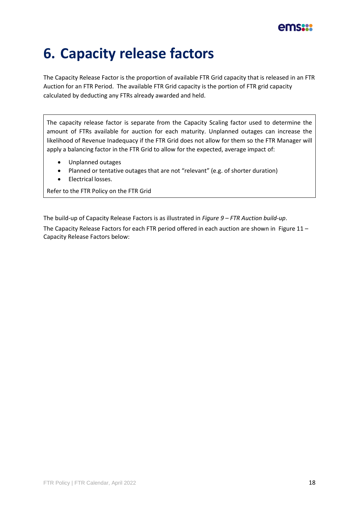

### **6. Capacity release factors**

The Capacity Release Factor is the proportion of available FTR Grid capacity that is released in an FTR Auction for an FTR Period. The available FTR Grid capacity is the portion of FTR grid capacity calculated by deducting any FTRs already awarded and held.

The capacity release factor is separate from the Capacity Scaling factor used to determine the amount of FTRs available for auction for each maturity. Unplanned outages can increase the likelihood of Revenue Inadequacy if the FTR Grid does not allow for them so the FTR Manager will apply a balancing factor in the FTR Grid to allow for the expected, average impact of:

- Unplanned outages
- Planned or tentative outages that are not "relevant" (e.g. of shorter duration)
- Electrical losses.

Refer to the FTR Policy on the FTR Grid

The build-up of Capacity Release Factors is as illustrated in *Figure 9 – [FTR Auction build-up](#page-15-0)*.

The Capacity Release Factors for each FTR period offered in each auction are shown in [Figure](#page-18-0) 11 – [Capacity Release Factors](#page-18-0) below: